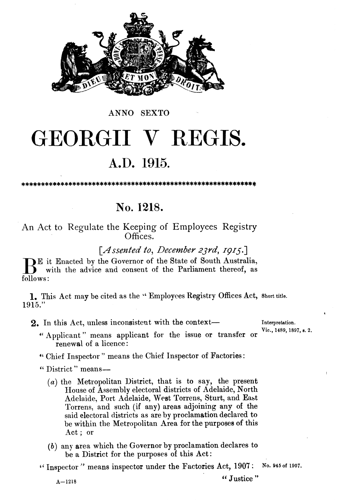

# ANNO SEXTO

# GEORGII V REGIS.

# **A.D.** 1915.

# **No. 1218.**

An Act to Regulate the Keeping of Employees Registry Offices.

# *[Assented to, December 23rd, 1915.]*

E it Enacted by the Governor of the State of South Australia,<br>B with the advice and consent of the Parliament thereof, as follows:

**1.** This Act may be cited as the '' Employees Registry Offices Act, Short title. 1915."

**2.** In this Act, unless inconsistent with the context- Interpretation.

**Vic., 1489, 1897, S. 2.** Applicant " means applicant for the issue or transfer or renewal of a licence :

# " Chief Inspector " means the Chief Inspector of Factories:

"District" means-

- $(a)$  the Metropolitan District, that is to say, the present House of Assembly electoral districts of Adelaide, North Adelaide, Port Adelaide, Weat Torrens, Sturt, and East l'orrens, and such (if any) areas adjoining any of the said electoral districts as are by proclamation declared to be within the Metropolitan Area for the purposes of this Act : or
- *(b)* any area which the Governor by proclamation declares to be a District for the purposes of this Act:

" Inspector " means inspector under the Factories Act, 1907: No. 945 of 1907.

**A**-1218 **Contract 2018 Contract 2018 Contract 2018 Contract 2018 Contract 2018 Contract 2018 Contract 2018 Contract 2018 Contract 2018 Contract 2018 Contract 2018 Contract 2019 Contract 2019 Cont**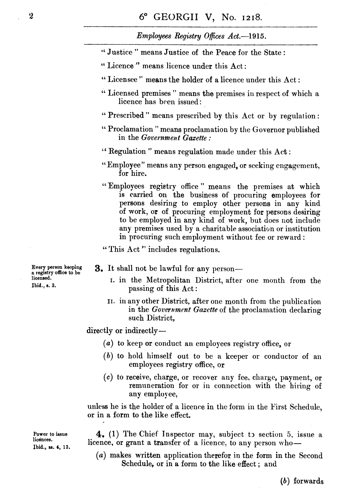# *Employees Registry Offices Act.*-1915.

- Justice " means Justice of the Peace for the State :
- "Licence" means licence under this Act:
- Licensee " means the holder of a licence under this Act :
- " Licensed premises " means the premises in respect of which a licence has been issued:
- " Prescribed " means prescribed by this Act or by regulation :
- " Proclamation " means proclamation by the Governor published in the *Gocernrnerct Gazette* :
- '' Regulation " means regulation made under this Act :
- " Employee" means any person engaged, or seeking engagement, for hire.
- " Employees regietry office " means the premises at which is carried on the business of procuring employees for persons desiring to employ other persons in any kind of work, or of procuring employment for persons desiring to be employed in any kind of work, but does not include any premises used by a charitable association or institution in procuring such employment without fee or reward :

"This Act" includes regulations.

- **Every person keeping 3. It shall not be lawful for any person---**<br>a registry office to be <br>*i* in the Metropolitan District of the
- Iieensed.<br> **I.** in the Metropolitan District, after one month from the Ibid., s. 3. passing of this Act:
	- **XI.** in any other District, after one month from the publication in the *Government Gazette* of the proclamation declaring such District,

 $\rm{directly}$  or indirectly —

- *(a)* to keep or conduct **an** employees registry office, or
- **(6)** to hold himself out to be a keeper or conductor of an employees registry office, or
- (c) to receive, charge, or recover any fee, charge, payment, or remuneration for or in connection with the hiring of any employee,

unless he is the holder of a licence in the form in the First Schedule, or in a form to the like effect.

Power to issue 4. (1) The Chief Inspector may, subject to section 5, issue a licences. licence, or grant a transfer of a licence, to any person who-

> *(a)* makes written application therefor in the form in the Second Schedule, or in a form to the like effect ; and

 $\boldsymbol{v}$ 

*(b)* forwards

**Ibid.. se. 4. 13.**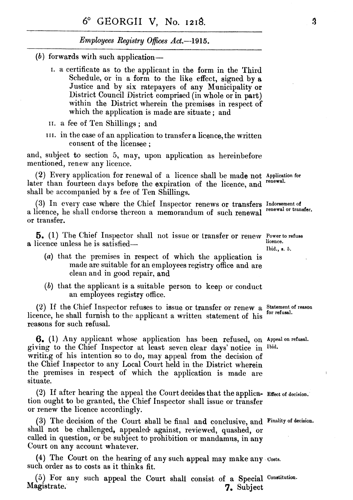*Elnpb* **yees** *Registry* **Offices** *Act.--1* **9 15.** 

- (b) forwards with such application-
	- I. a certificate as to the applicant in the form in the Third Schedule, or in a form to the like effect, signed by a Justice and by six ratepayers of any Municipality or District Council District comprised (in whole or in part) within the District wherein the premises in respect of which the application is made are situate ; and
	- **11.** a fee of Ten Shillings ; and
	- III. in the case of an application to transfer a licence, the written consent of the licensee ;

and, subject to section 5, may, upon application as hereinbefore mentioned, renew any licence.

 $(2)$  Every application for renewal of a licence shall be made not Application for  $\mathbf{r}$  are then  $\mathbf{r}$  fourteen days before the cyningtion of the licence and renewal. later than fourteen days before the expiration of the licence, and shall be accompanied by a fee of Ten Shillings.

**(3)** In every case where the Chief Inspector renews or transfers **Indorsement of**  renewal or transfer. a licence, he shall endorse thereon a memorandum of such renewal or transfer.

**5. (1)** The Chief Inspector shall not issue or transfer or reuew **Power to refuse**  a licence unless he is satisfied- **licence.**  Ibid., **a. 5.** 

- *(a)* that the premises in respect of which the application is made are suitable for an employees registry office and are clean and in good repair, and
- *(b)* that the applicant is a suitable person to keep or conduct an employees registry office.

(2) If the Chief Inspector refuses to issue or transfer or renew a Statement of reason licence, he shall furnish to the applicant a written statement of his reasons for such refusal.

*6.* **(1)** Any appiicant whose application has been refused, on **Appeal on refusal.**  giving to the Chief Inspector at least seven clear days' notice in Ibid. writing of his intention so to do, may appeal from the decision of the Chief Inspector to any Local Court held in the District wherein the premises in respect of which the application is made are situate.

(2) If after hearing the appeal the Court decides that the applica- Effect of decision. tion ought to be granted, the Chief Inspector shall issue or transfer or renew the licence accordingly.

**(3)** The decision of the Court shall be **final** and **conclusive,** and Fiulity **decision.**  shall not be challenged, appealed against, reviewed, quashed, or called in question, or be subject to prohibition or mandamus, in any Court on any account whatever.

(4) The Court on the hearing of any such appeal may make any **costs.**  such order as to costs as it thinks fit.

*(5)* For any such appeal the Court shall consist of a Special Magistrate. **7.** Subject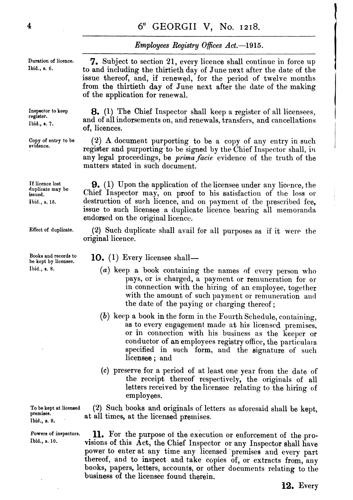# 6" GEORGII V, No. **1218.**

# *Employees* **Registry** Offices *Act.--19* **15.**

**Duration of licence. Ibid., B. 6.** 

**Inspector to keep register. Ibid.,** *8.* **7.** 

**Copy of entry to be** 

**evidence.** 

**Tf licence lost duplicate may be** 

**Effect of duplicate.** 

**Books and records to be kept by licensee.** 

**Ibid., s. 8.** 

**issued. Lhid., s. 15.** 

**7.** Subject to section 21, every licence shall continue in force up to and including the thirtieth day of June next after the date of the issue thereof, and, if renewed, for the period of twelve months from the thirtieth day of June next after the date of the making of the application for renewal.

**8.** (1) The Chief Inspector shall keep a register of all licensees, and of all indorsements on, and renewals, transfers, and cancellations of, licences.

(8) **A** document purporting to be a copy of any entry in such register and purporting to be signed by the Chief Inspector shall, in any legal proceedings, be prima **facie** evidence of the truth of the matters stated in such document.'

**9.** (1) Upon the application of the licensee under any licence, the Chief Inspector may, on proof to his satisfaction of the loss or destruction of such licence, and on payment of the prescribed fee, issue to such licensee a duplicate licence bearing all memoranda endorsed on the original licence.

**(2)** Such duplicate shall avail for all purposes as if it were the original licence.

## **10.** (1) Every licensee shall—

- (a) keep a book containing the names of every person who pays, or is charged, a payment or remuneration for or in connection with the hiring of an employee, together with the amount of such payment or remuneration and the date of the paying or charging thereof ;
- (b) keep a book in the form in the Fourth Schedule, containing, as to every engagement made at his licensed premises, or in connection with his business as the keeper or conductor of an employees registry office, the particulars specified in such form, and the signature of such icensee; and
- (c) preserve for a period of at least one year from the date of the receipt thereof respectively, the originals of all letters received by the licensee relating to the hiring of employees.

**<sup>d</sup>**(2) Such books and originals of letters as aforesaid shall be kept, at all times, at the licensed premises.

Powers of inspectors. **11.** For the purpose of the execution or enforcement of the pro-<br>Ibid., s. 10. visions of this Act, the Chief Inspector or any Inspector shall have visions of this Act, the Chief Inspector or any Inspector shall have power to enter at any time any licensed 'premises and every part thereof, and to inspect and take copies of, or extracts from, any books, papers, letters, accounts, or other documents relating to the business of the licensee found therein.

To be kept at licensed **premises. Ibid., S. 9.** 

12. Every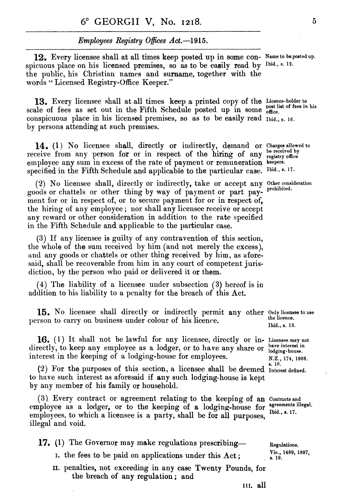# *Employees Registry Offices Act.*—1915.

**12,** Every licensee shall at all times keep posted up in some con- **Name** to **be-poatedup.**  spicuous place on his licensed premises, so as to be easily read by **Ibid.,** 12. the public, his Christian names and surname, together with the words "Licensed Registry-Office Keeper."

13. Every licensee shall at all times keep a printed copy of the Licence-holder to scale of fees as set out in the Fifth Schedule posted up in some office. conspicuous place in his licensed premises, so as to be easily read **Ibid.,** 16. by persons attending at such premises.

14. (1) No licensee shall, directly or indirectly, demand or Charges allowed to coince forms on proposed for our in receptor of the himner of onex be received by receive from any person for or in respect of the hiring of any **be received** by employee any sum in excess of the rate of payment or remuneration keepers. specified in the Fifth Schedule and applicable to the particular case. **Ibid., a-** 

**(2)** No licensee shall, directly or indirectly, take or accept any **Other consideration**  goods or chattels or other thing by way of payment or part payment for or in respect of, or to secure payment for or in respect of, the hiring of any employee ; nor shall any licensee receive or accept any reward or other consideration in addition to the rate specified in the Fifth Schedule and applicable to the particular case.

**(3)** If any licensee is guilty of any contravention of this section, the whole of the sum received by him (and not merely the excess), and any goods or chattels or other thing received by him, as aforesaid, shall be recoverable from him in any court of competent jurisdiction, by the person who paid or delivered it or them.

(4) The liability of a licensee under subsection **(3)** hereof is in addition to his liability to a penalty for the breach of this Act.

**15.** No licensee shall directly or indirectly permit any other **only licensee touae**  person to carry on business under colour of his licence.

**16.** (1) It shall not be lawful for any licensee, directly or in- Licensee may not rectly, to keep any employee as a lodger, or to have any share or  $\frac{\text{have interest in}}{\text{lodging-bouse.}}$ directly, to keep any employee as a lodger, or to have any share or interest in the keeping of a lodging-house for employees. N.Z., 174, 1908.

**a. 16.** (2) For the purposes of this section, **a** licensee ghall be deemed **Interest defined.**  to have such interest as aforesaid if any such lodging-house is kept by any member of his family or household.

(3) Every contract or agreement relating to the keeping of an *Contracts* and <br>
unlovee as a lodger or to the keeping of a lodging-house for <sup>agreements illegal.</sup> employee as a lodger, or to the keeping of a lodging-house for agreements conclusions at this contract in a mental beginning to the set of the set of the set of the set of the set of the set of the set of the set of the se employees, to which a licensee is a party, shall be for all purposes, illegal and void.

**17.** (1) The Governor may make regulations prescribing— Regulations.

I. the fees to be paid on applications under this  $Act$ ;  $\frac{Vic., 1489, 1897, 1897, 1897, 1897, 1897, 1897, 1897, 1897, 1897, 1897, 1897, 1897, 1897, 1897, 1897, 1897, 1897, 1897, 1897, 1897, 1897, 1897, 1897, 1897, 1897, 18$ 

**11.** penalties, not exceeding in any case Twenty Pounds, for the breach of any regulation; and

**Ibid., a.** 13.

**a. 19.** 

**Irr.** all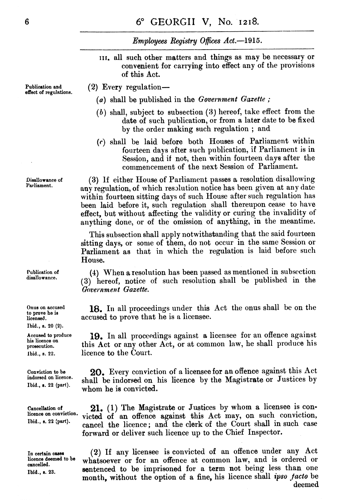# Employees Registry Offices Act.-1915.

**111.** all such other matters and things as map be necessary or convenient for carrying into effect any of the provisions of this Act.

**Publication and effect of regulations.**   $(2)$  Every regulation—

- **(a)** shall be published in the *Government Gazette* ;
- (b) shall, subject to subsection (3) hereof, take effect from the date of such publication, or from a later date to be fixed by the order making such regulation ; and
- (c) shall be laid before both Houses of Parliament within fourteen days after such publication, if Parliament is in Session, and if not, then within fourteen days after the commencement of the next Session of Parliament.

**(3)** If either House of Parliament passes a resolution disallowiag any regulation, of which resolution notice has been given at any date within fourteen sitting days of such House after such regulation has been laid before it, such regulation shall thereupon cease to have effect, but without affecting the validity or curing the invalidity of anything done, or of the omission of anything, in the meantime.

This subsection shall apply notwithstanding that the said fourteen sitting days, or some of them, do not occur in the same Session or Parliament as that in which the regulation is laid before such House.

(4) When a resolution has been passed as mentioned in subsection **(3)** hereof, notice of such resolution shall be published in the  $G<sub>over</sub>$ *Government Gazette.* 

**18.** In all proceedings under this Act the onus shall be on the accused to prove that he is a licensee.

**19,** In all proceedings against a licensee for an offence against this Act or any other Act, or at common law, he shall produce his licence to the Court.

20. Every conviction of a licensee for an offence against this Act shall be indorsed on his licence by the Magistrate or Justices by whom he is convicted.

**Cancellation of 21. (1)** The Magistrate or Justices by whom **a** licensee is conlicence on conviction. victed of an offence against this Act may, on such conviction, Ibid., **s.** 22 (part). cancel the licence; and the clerk of the Court shall in such case forward or deliver such licence up to the Chief Inspector.

In certain cases (2) If any licensee is convicted of an offence under any Act licence deemed to be whatsoever or for an offence at common law, and is ordered or **licence deemed to be** whatsoever or for an offence at common law, and is ordered or **cancelled. Ibid., 8. 23.** sentenced to be imprisoned for a term not being less than one month, without the option of a fine, his licence shall *ipso jacto* be deemed

**Disallowance of Parliament.** 

**Publication of disallowance.** 

**Onus on accused to prove he ie liceneed.** 

**Ibid., a. 20 (2).** 

**Accused to produce his licence on prosecution. Ibid., S. 22.** 

**Conviction to be**  indorsed on licence. **Ibid., s. 22 (part).** 

**licence on conviction.**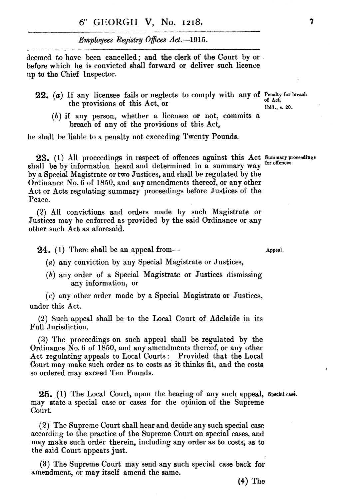*Employees Registry Offices Act.* -1915.

deemed to have been cancelled ; and the clerk of the Court by or before which he is convicted shall forward or deliver such licence up to the Chief Inspector.

- **22. (a)** If any licensee fails or neglects to comply with any of **Penalty for bmach**  the provisions of this Act, or **of Act. Ibid., s. 20.** 
	- *(b)* if any person, whether a licensee or not, commits a breach of any of the provisions of this Act,

he shall be liable to a penalty not exceeding Twenty Pounds.

23. (1) All proceedings in respect of offences against this Act Summary proceedings shall be by information heard and determined in a summary way by a Special Magistrate or two Justices, and shall be regulated by the Ordinance No. 6 of 1850, and any amendments thereof, or any other **Act** or Acts regulating summary proceedings before Justices of the Peace.

(2) All convictions and orders made by such Magistrate or Justices may be enforced as provided by the said Ordinance or any other such **Act** as aforesaid.

**24.** (1) There shall be an appeal from- $\frac{1}{2}$ 

- (a) any conviction by any Special Magistrate or Justices,
- *(b)* any order of **a** Special Magistrate or Justices dismissing any information, or

*(c)* any other order made by a Special Magistrate or Justices, under this Act.

(2) Such appeal shall be to the 1,ocal Court of Adelaide in its Full Jurisdiction.

**(3)** The proceedings on such appeal shall be regulated by the Ordinance No. 6 of 1850, and any amendments thereof, or any other Act regulating appeals to Local Courts : Provided that the Local Court may make such order as to costs as it thinks fit, and the costs so ordered may exceed Ten Pounds.

**25.** (1) The Local Court, upon the hearing of any such appeal, Special case. may state a special case or cases for the opinion of the Supreme Court.

**(2)** The Supreme Court shall hear and decide any such special case according to the practice of the Supreme Court on special cases, and may make such order therein, including any order as to costs, as to the said Court appears just.

**(3)** The Supreme Court may send any such special case back for amendment, or may itself amend the same.

for offences.

(4) The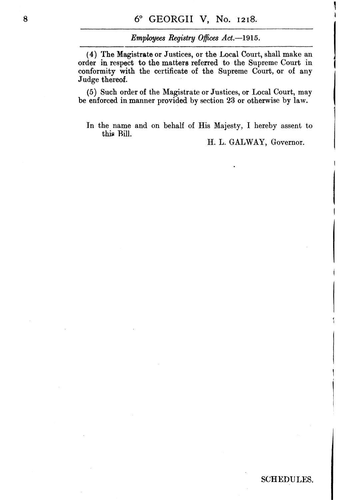*Employees Registry* **Offices** *Act.-1 91 5.* 

(4) The Magistrate or Justices, or the Local Court, shall make an order in respect to the matters referred to the Supreme Court in conformity with the certificate of the Supreme Court, or of any Judge thereof.

**(5)** Such order of the Magistrate or Justices, or Local Court, may be enforced in manner provided by section **23** or otherwise by law.

In the name and on behalf of His Majesty, I hereby assent to this Rill.

H. L. GALWAY, Governor.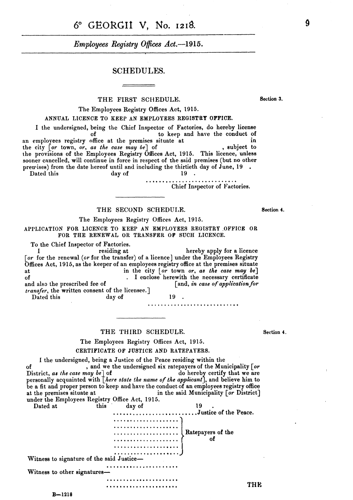#### GEORGII V, No. 1218.  $6^{\circ}$

*Employees Registry* **Offices** *Act.-1* **91 5.** 

### **SCHEDULES.**

### THE FIRST SCHEDULE. Section 3.

### The Employees Registry Offices Act, 1915.

#### **ANNUAL LICENCE TO KEEP AN EMPLOYEES REGISTRY OFFICE.**

I the undersigned, being the Chief Inspector of Factories, do hereby license to keep and have the conduct of<br>situate at in an employees registry office at the premises situate at in the city  $\lceil or \rceil$  town, or, as the case may be  $\lceil$  of , subject to the city  $[or\;town, or,\;as\;the\;case\;may\;be]$  of the provisions of the Employees Registry Offices Act, 1915. This licence, unless sooner cancelled, will continue in force in respect of the said premisee (but no other prewises) from the date hereof until and including the thirtieth day of June, 19 .<br>day of 19 .<br>Chief Inspector of Factories.

#### THE SECOND SCHEDULE. Section 4.

#### The Employees Registry Offices Act, 1915.

**APPLICATION FOR LICENCE TO KEEP AN EMPLOYEES REGISTRY .OFFICE OR**  FOR THE RENEWAL OR TRANSFER OF SUCH LICENCE.

To the Chief Inspector of Factories.<br>I residing at

hereby apply for a licence [or for the renewal (or for the transfer) of a licence under the Employees Registry Offices Act, 1915, as the keeper of an employees registry office at the premises situate at in the city *[or* town or, as the case **may** be] of  $\cdots$  I enclose herewith the necessary certificate<br>and also the prescribed fee of  $\cdots$  and, in case of application for [and, in case of application for transfer, the written consent of the licensee.]<br>
Dated this day of 19.

#### THE THIRD SCHEDULE.

# The Employees Registry Ofices Act, 1915.

### **CERTIFICATE OF JUSTICE AND RATEPAYERS.**

I the undersigned, being a Justice of the Peace residing within the of , and we the undersigned six ratepayers of the Municipality [or District, as the case may be of the name of the applicant, and believe him to<br>personally acquainted with [here state the name of the applicant], and believe him to<br>be a fit and proper person to keep and have the conduct o be a fit and proper person to keep and have the conduct of an employees registry office at the premises situate at in the said Municipality [or District] under the Employees Registry Office Act, 1915.

Dated at this . day of 19 . ......................... ,Justice of the Peace. .................... I .................... Ratepayers of the  $\delta$ .................... ................... .) Witness to signature of the said Justice- Witness to other signatures-

 $B - 1218$ 

**Section 4.** 

**THE**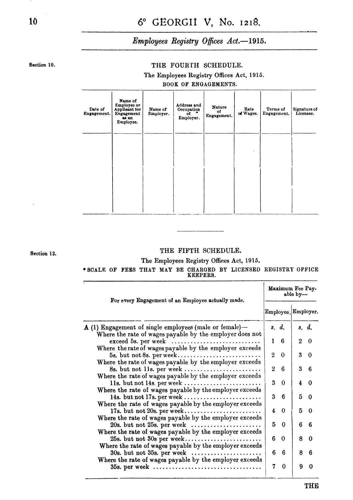# 6° GEORGII V, No. 1218.

# *Employees Registry Oftices Act.- 1915.*

### **Section 10.**

### THE FOURTH **SCHEDULE.**

# The Employees Registry Offices **Act,** 1915. **BOOK OF ENGAGEMENTS.**

| Date of<br>Engagement. | Name of<br>Employee or<br>Applicant for<br>Engagement<br>as an<br>Employee. | Name of<br>Employer. | Address and<br>Occupation<br>of<br>Employer. | <b>Nature</b><br>of<br>Engagement. | Rate<br>of Wages. | Terms of<br>Engagement. | Signature of<br>Licensee. |
|------------------------|-----------------------------------------------------------------------------|----------------------|----------------------------------------------|------------------------------------|-------------------|-------------------------|---------------------------|
|                        |                                                                             |                      |                                              |                                    |                   |                         |                           |
|                        |                                                                             |                      |                                              |                                    |                   |                         |                           |
|                        |                                                                             |                      |                                              |                                    |                   |                         |                           |
|                        |                                                                             |                      |                                              |                                    |                   |                         |                           |

**Section 13.** 

## THE FIFTH SCHEDULE.

# The Employees Registry Offices **Act,** 1915.

**\*SCALE OF FEES THAT MAY BE CHARGED BY LICENSED REGISTRY OFFICE KEEPERS.** 

| For every Engagement of an Employee actually made.                                                                                              | Maximum Fee Pay-<br>able by- |          |                         |             |
|-------------------------------------------------------------------------------------------------------------------------------------------------|------------------------------|----------|-------------------------|-------------|
|                                                                                                                                                 |                              |          | Employee. Employer.     |             |
| $A(1)$ Engagement of single employees (male or female)—                                                                                         |                              | s, d.    |                         | s. d.       |
| Where the rate of wages payable by the employer does not<br>exceed 5s. per week                                                                 | 1                            | 6        | $\overline{2}$          | $\Omega$    |
| Where the rate of wages payable by the employer exceeds                                                                                         | $\overline{2}$               | $\Omega$ | 3                       | $\mathbf 0$ |
| Where the rate of wages payable by the employer exceeds<br>8s. but not 11s. per week                                                            | $\overline{2}$               | 6        | $\overline{\mathbf{3}}$ | 6           |
| Where the rate of wages payable by the employer exceeds<br>11s. but not 14s. per week $\dots\dots\dots\dots\dots\dots\dots\dots\dots\dots\dots$ | 3                            | $\Omega$ | $\overline{\mathbf{4}}$ | 0           |
| Where the rate of wages payable by the employer exceeds<br>14s. but not 17s. per week                                                           | $3\overline{ }$              | 6        | 5                       | $\bf{0}$    |
| Where the rate of wages payable by the employer exceeds<br>17s. but not 20s. per week                                                           | $\overline{\mathbf{4}}$      | $\Omega$ | 5                       | $\Omega$    |
| Where the rate of wages payable by the employer exceeds                                                                                         | 5                            | $\Omega$ | 6                       | 6           |
| Where the rate of wages payable by the employer exceeds<br>25s. but not 30s per week                                                            | 6                            | $\Omega$ | 8                       | $\bf{0}$    |
| Where the rate of wages payable by the employer exceeds                                                                                         | 6                            | 6        | 8                       | 6           |
| Where the rate of wages payable by the employer exceeds                                                                                         | 7                            | $\Omega$ | 9                       | 0           |
|                                                                                                                                                 |                              |          |                         |             |